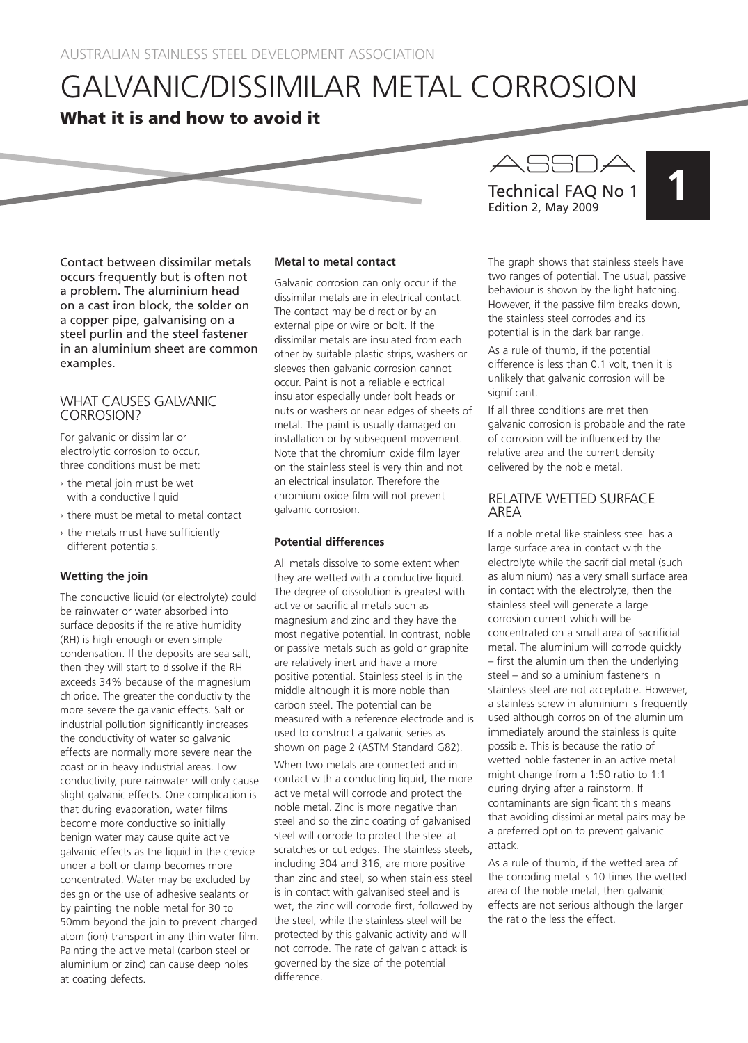# GALVANIC/DISSIMILAR METAL CORROSION

# What it is and how to avoid it

Contact between dissimilar metals occurs frequently but is often not a problem. The aluminium head on a cast iron block, the solder on a copper pipe, galvanising on a steel purlin and the steel fastener in an aluminium sheet are common examples.

# WHAT CAUSES GALVANIC CORROSION?

For galvanic or dissimilar or electrolytic corrosion to occur, three conditions must be met:

- › the metal join must be wet with a conductive liquid
- › there must be metal to metal contact
- › the metals must have sufficiently different potentials.

# **Wetting the join**

The conductive liquid (or electrolyte) could be rainwater or water absorbed into surface deposits if the relative humidity (RH) is high enough or even simple condensation. If the deposits are sea salt, then they will start to dissolve if the RH exceeds 34% because of the magnesium chloride. The greater the conductivity the more severe the galvanic effects. Salt or industrial pollution significantly increases the conductivity of water so galvanic effects are normally more severe near the coast or in heavy industrial areas. Low conductivity, pure rainwater will only cause slight galvanic effects. One complication is that during evaporation, water films become more conductive so initially benign water may cause quite active galvanic effects as the liquid in the crevice under a bolt or clamp becomes more concentrated. Water may be excluded by design or the use of adhesive sealants or by painting the noble metal for 30 to 50mm beyond the join to prevent charged atom (ion) transport in any thin water film. Painting the active metal (carbon steel or aluminium or zinc) can cause deep holes at coating defects.

#### **Metal to metal contact**

Galvanic corrosion can only occur if the dissimilar metals are in electrical contact. The contact may be direct or by an external pipe or wire or bolt. If the dissimilar metals are insulated from each other by suitable plastic strips, washers or sleeves then galvanic corrosion cannot occur. Paint is not a reliable electrical insulator especially under bolt heads or nuts or washers or near edges of sheets of metal. The paint is usually damaged on installation or by subsequent movement. Note that the chromium oxide film layer on the stainless steel is very thin and not an electrical insulator. Therefore the chromium oxide film will not prevent galvanic corrosion.

# **Potential differences**

All metals dissolve to some extent when they are wetted with a conductive liquid. The degree of dissolution is greatest with active or sacrificial metals such as magnesium and zinc and they have the most negative potential. In contrast, noble or passive metals such as gold or graphite are relatively inert and have a more positive potential. Stainless steel is in the middle although it is more noble than carbon steel. The potential can be measured with a reference electrode and is used to construct a galvanic series as shown on page 2 (ASTM Standard G82).

When two metals are connected and in contact with a conducting liquid, the more active metal will corrode and protect the noble metal. Zinc is more negative than steel and so the zinc coating of galvanised steel will corrode to protect the steel at scratches or cut edges. The stainless steels, including 304 and 316, are more positive than zinc and steel, so when stainless steel is in contact with galvanised steel and is wet, the zinc will corrode first, followed by the steel, while the stainless steel will be protected by this galvanic activity and will not corrode. The rate of galvanic attack is governed by the size of the potential difference.

ASSDA<br>Technical FAQ No 1 Edition 2, May 2009

The graph shows that stainless steels have two ranges of potential. The usual, passive behaviour is shown by the light hatching. However, if the passive film breaks down, the stainless steel corrodes and its potential is in the dark bar range.

As a rule of thumb, if the potential difference is less than 0.1 volt, then it is unlikely that galvanic corrosion will be significant.

If all three conditions are met then galvanic corrosion is probable and the rate of corrosion will be influenced by the relative area and the current density delivered by the noble metal.

# RELATIVE WETTED SURFACE AREA

If a noble metal like stainless steel has a large surface area in contact with the electrolyte while the sacrificial metal (such as aluminium) has a very small surface area in contact with the electrolyte, then the stainless steel will generate a large corrosion current which will be concentrated on a small area of sacrificial metal. The aluminium will corrode quickly – first the aluminium then the underlying steel – and so aluminium fasteners in stainless steel are not acceptable. However, a stainless screw in aluminium is frequently used although corrosion of the aluminium immediately around the stainless is quite possible. This is because the ratio of wetted noble fastener in an active metal might change from a 1:50 ratio to 1:1 during drying after a rainstorm. If contaminants are significant this means that avoiding dissimilar metal pairs may be a preferred option to prevent galvanic attack.

As a rule of thumb, if the wetted area of the corroding metal is 10 times the wetted area of the noble metal, then galvanic effects are not serious although the larger the ratio the less the effect.